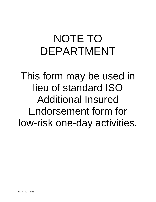## NOTE TO DEPARTMENT

This form may be used in lieu of standard ISO Additional Insured Endorsement form for low-risk one-day activities.